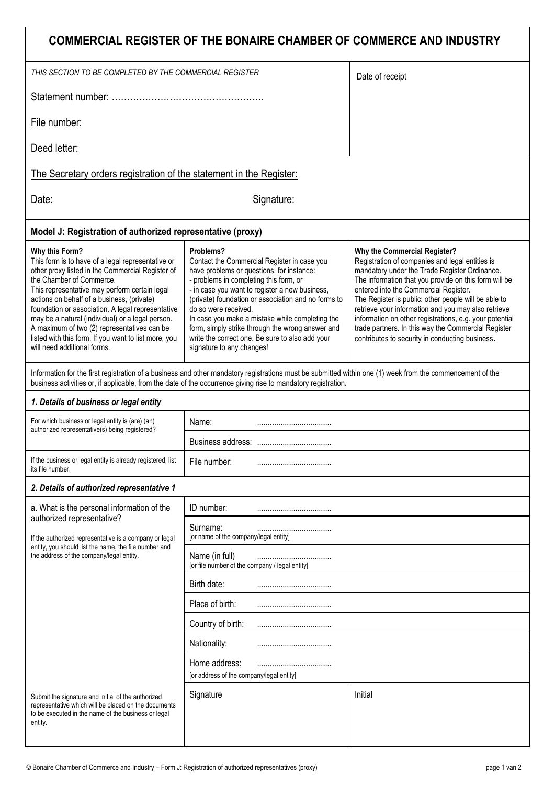| COMMERCIAL REGISTER OF THE BONAIRE CHAMBER OF COMMERCE AND INDUSTRY                                                                                                                                                                                                                                                                                                                                                                                                                               |                                                                                                                                                                                                                                                                                                                                                                                                                                                                         |                                                                                                                                                                                                                                                                                                                                                                                                                                                                                                                        |  |
|---------------------------------------------------------------------------------------------------------------------------------------------------------------------------------------------------------------------------------------------------------------------------------------------------------------------------------------------------------------------------------------------------------------------------------------------------------------------------------------------------|-------------------------------------------------------------------------------------------------------------------------------------------------------------------------------------------------------------------------------------------------------------------------------------------------------------------------------------------------------------------------------------------------------------------------------------------------------------------------|------------------------------------------------------------------------------------------------------------------------------------------------------------------------------------------------------------------------------------------------------------------------------------------------------------------------------------------------------------------------------------------------------------------------------------------------------------------------------------------------------------------------|--|
| THIS SECTION TO BE COMPLETED BY THE COMMERCIAL REGISTER                                                                                                                                                                                                                                                                                                                                                                                                                                           |                                                                                                                                                                                                                                                                                                                                                                                                                                                                         | Date of receipt                                                                                                                                                                                                                                                                                                                                                                                                                                                                                                        |  |
|                                                                                                                                                                                                                                                                                                                                                                                                                                                                                                   |                                                                                                                                                                                                                                                                                                                                                                                                                                                                         |                                                                                                                                                                                                                                                                                                                                                                                                                                                                                                                        |  |
| File number:                                                                                                                                                                                                                                                                                                                                                                                                                                                                                      |                                                                                                                                                                                                                                                                                                                                                                                                                                                                         |                                                                                                                                                                                                                                                                                                                                                                                                                                                                                                                        |  |
| Deed letter:                                                                                                                                                                                                                                                                                                                                                                                                                                                                                      |                                                                                                                                                                                                                                                                                                                                                                                                                                                                         |                                                                                                                                                                                                                                                                                                                                                                                                                                                                                                                        |  |
| The Secretary orders registration of the statement in the Register:                                                                                                                                                                                                                                                                                                                                                                                                                               |                                                                                                                                                                                                                                                                                                                                                                                                                                                                         |                                                                                                                                                                                                                                                                                                                                                                                                                                                                                                                        |  |
| Date:                                                                                                                                                                                                                                                                                                                                                                                                                                                                                             | Signature:                                                                                                                                                                                                                                                                                                                                                                                                                                                              |                                                                                                                                                                                                                                                                                                                                                                                                                                                                                                                        |  |
| Model J: Registration of authorized representative (proxy)                                                                                                                                                                                                                                                                                                                                                                                                                                        |                                                                                                                                                                                                                                                                                                                                                                                                                                                                         |                                                                                                                                                                                                                                                                                                                                                                                                                                                                                                                        |  |
| Why this Form?<br>This form is to have of a legal representative or<br>other proxy listed in the Commercial Register of<br>the Chamber of Commerce.<br>This representative may perform certain legal<br>actions on behalf of a business, (private)<br>foundation or association. A legal representative<br>may be a natural (individual) or a legal person.<br>A maximum of two (2) representatives can be<br>listed with this form. If you want to list more, you<br>will need additional forms. | Problems?<br>Contact the Commercial Register in case you<br>have problems or questions, for instance:<br>- problems in completing this form, or<br>- in case you want to register a new business,<br>(private) foundation or association and no forms to<br>do so were received.<br>In case you make a mistake while completing the<br>form, simply strike through the wrong answer and<br>write the correct one. Be sure to also add your<br>signature to any changes! | Why the Commercial Register?<br>Registration of companies and legal entities is<br>mandatory under the Trade Register Ordinance.<br>The information that you provide on this form will be<br>entered into the Commercial Register.<br>The Register is public: other people will be able to<br>retrieve your information and you may also retrieve<br>information on other registrations, e.g. your potential<br>trade partners. In this way the Commercial Register<br>contributes to security in conducting business. |  |
| Information for the first registration of a business and other mandatory registrations must be submitted within one (1) week from the commencement of the<br>business activities or, if applicable, from the date of the occurrence giving rise to mandatory registration.                                                                                                                                                                                                                        |                                                                                                                                                                                                                                                                                                                                                                                                                                                                         |                                                                                                                                                                                                                                                                                                                                                                                                                                                                                                                        |  |
| 1. Details of business or legal entity                                                                                                                                                                                                                                                                                                                                                                                                                                                            |                                                                                                                                                                                                                                                                                                                                                                                                                                                                         |                                                                                                                                                                                                                                                                                                                                                                                                                                                                                                                        |  |
| For which business or legal entity is (are) (an)<br>authorized representative(s) being registered?                                                                                                                                                                                                                                                                                                                                                                                                | Name:                                                                                                                                                                                                                                                                                                                                                                                                                                                                   |                                                                                                                                                                                                                                                                                                                                                                                                                                                                                                                        |  |
|                                                                                                                                                                                                                                                                                                                                                                                                                                                                                                   |                                                                                                                                                                                                                                                                                                                                                                                                                                                                         |                                                                                                                                                                                                                                                                                                                                                                                                                                                                                                                        |  |
| If the business or legal entity is already registered, list<br>its file number.                                                                                                                                                                                                                                                                                                                                                                                                                   | File number:                                                                                                                                                                                                                                                                                                                                                                                                                                                            |                                                                                                                                                                                                                                                                                                                                                                                                                                                                                                                        |  |
| 2. Details of authorized representative 1                                                                                                                                                                                                                                                                                                                                                                                                                                                         |                                                                                                                                                                                                                                                                                                                                                                                                                                                                         |                                                                                                                                                                                                                                                                                                                                                                                                                                                                                                                        |  |
| a. What is the personal information of the                                                                                                                                                                                                                                                                                                                                                                                                                                                        | ID number:                                                                                                                                                                                                                                                                                                                                                                                                                                                              |                                                                                                                                                                                                                                                                                                                                                                                                                                                                                                                        |  |
| authorized representative?<br>If the authorized representative is a company or legal<br>entity, you should list the name, the file number and<br>the address of the company/legal entity.                                                                                                                                                                                                                                                                                                         | Surname:<br>[or name of the company/legal entity]                                                                                                                                                                                                                                                                                                                                                                                                                       |                                                                                                                                                                                                                                                                                                                                                                                                                                                                                                                        |  |
|                                                                                                                                                                                                                                                                                                                                                                                                                                                                                                   | Name (in full)<br>[or file number of the company / legal entity]                                                                                                                                                                                                                                                                                                                                                                                                        |                                                                                                                                                                                                                                                                                                                                                                                                                                                                                                                        |  |
|                                                                                                                                                                                                                                                                                                                                                                                                                                                                                                   | Birth date:                                                                                                                                                                                                                                                                                                                                                                                                                                                             |                                                                                                                                                                                                                                                                                                                                                                                                                                                                                                                        |  |
|                                                                                                                                                                                                                                                                                                                                                                                                                                                                                                   | Place of birth:                                                                                                                                                                                                                                                                                                                                                                                                                                                         |                                                                                                                                                                                                                                                                                                                                                                                                                                                                                                                        |  |
|                                                                                                                                                                                                                                                                                                                                                                                                                                                                                                   | Country of birth:                                                                                                                                                                                                                                                                                                                                                                                                                                                       |                                                                                                                                                                                                                                                                                                                                                                                                                                                                                                                        |  |
|                                                                                                                                                                                                                                                                                                                                                                                                                                                                                                   | Nationality:                                                                                                                                                                                                                                                                                                                                                                                                                                                            |                                                                                                                                                                                                                                                                                                                                                                                                                                                                                                                        |  |
|                                                                                                                                                                                                                                                                                                                                                                                                                                                                                                   | Home address:<br>[or address of the company/legal entity]                                                                                                                                                                                                                                                                                                                                                                                                               |                                                                                                                                                                                                                                                                                                                                                                                                                                                                                                                        |  |
| Submit the signature and initial of the authorized<br>representative which will be placed on the documents<br>to be executed in the name of the business or legal<br>entity.                                                                                                                                                                                                                                                                                                                      | Signature                                                                                                                                                                                                                                                                                                                                                                                                                                                               | Initial                                                                                                                                                                                                                                                                                                                                                                                                                                                                                                                |  |